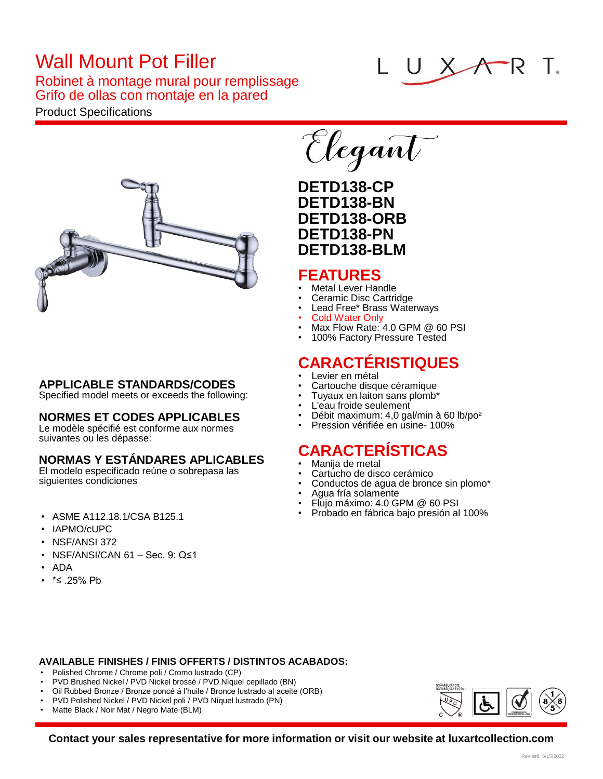# Wall Mount Pot Filler

Robinet à montage mural pour remplissage Grifo de ollas con montaje en la pared

#### Product Specifications



#### **APPLICABLE STANDARDS/CODES**

Specified model meets or exceeds the following:

#### **NORMES ET CODES APPLICABLES**

Le modèle spécifié est conforme aux normes suivantes ou les dépasse:

#### **NORMAS Y ESTÁNDARES APLICABLES**

El modelo especificado reúne o sobrepasa las siguientes condiciones

- ASME A112.18.1/CSA B125.1
- IAPMO/cUPC
- NSF/ANSI 372
- NSF/ANSI/CAN 61 Sec. 9: Q≤1
- ADA
- \*≤ .25% Pb

# Elegant

### **DETD138-CP DETD138-BN DETD138-ORB DETD138-PN DETD138-BLM**

#### **FEATURES**

- Metal Lever Handle
- Ceramic Disc Cartridge
- Lead Free\* Brass Waterways
- Cold Water Only
- Max Flow Rate: 4.0 GPM @ 60 PSI • 100% Factory Pressure Tested

## **CARACTÉRISTIQUES**

- Levier en métal
- Cartouche disque céramique
- Tuyaux en laiton sans plomb\*
- L'eau froide seulement
- Débit maximum: 4,0 gal/min à 60 lb/po²
- Pression vérifiée en usine- 100%

## **CARACTERÍSTICAS**

- Manija de metal
- Cartucho de disco cerámico
- Conductos de agua de bronce sin plomo\*
- Agua fría solamente
- Flujo máximo: 4.0 GPM @ 60 PSI
- Probado en fábrica bajo presión al 100%

#### **AVAILABLE FINISHES / FINIS OFFERTS / DISTINTOS ACABADOS:**

- Polished Chrome / Chrome poli / Cromo lustrado (CP)
- PVD Brushed Nickel / PVD Nickel brossé / PVD Níquel cepillado (BN)
- Oil Rubbed Bronze / Bronze poncé á l'huile / Bronce lustrado al aceite (ORB)
- PVD Polished Nickel / PVD Nickel poli / PVD Níquel lustrado (PN)
- Matte Black / Noir Mat / Negro Mate (BLM)



**Contact your sales representative for more information or visit our website at luxartcollection.com**